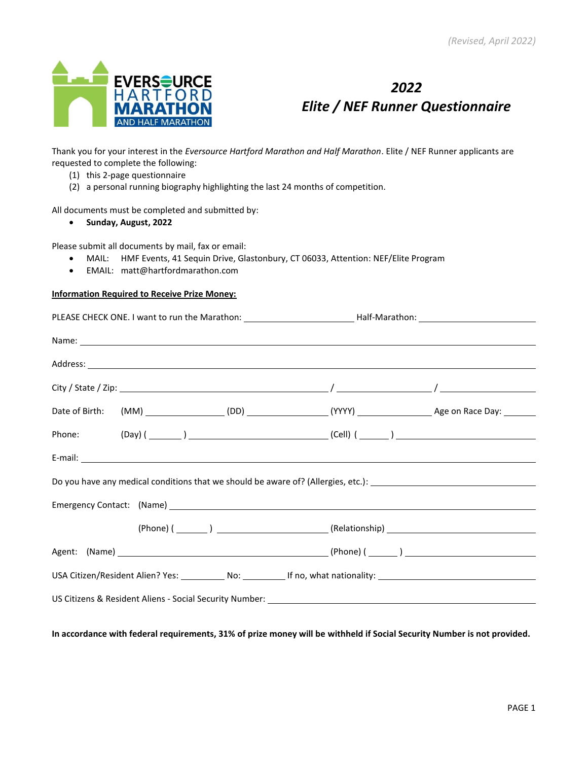

# *2022 Elite / NEF Runner Questionnaire*

Thank you for your interest in the *Eversource Hartford Marathon and Half Marathon*. Elite / NEF Runner applicants are requested to complete the following:

- (1) this 2-page questionnaire
- (2) a personal running biography highlighting the last 24 months of competition.

All documents must be completed and submitted by:

• **Sunday, August, 2022**

Please submit all documents by mail, fax or email:

- MAIL: HMF Events, 41 Sequin Drive, Glastonbury, CT 06033, Attention: NEF/Elite Program
- EMAIL: matt@hartfordmarathon.com

### **Information Required to Receive Prize Money:**

| Name: <u>example and a series of the series of the series of the series of the series of the series of the series of the series of the series of the series of the series of the series of the series of the series of the serie</u> |                                                                                                                |  |
|--------------------------------------------------------------------------------------------------------------------------------------------------------------------------------------------------------------------------------------|----------------------------------------------------------------------------------------------------------------|--|
| Address: experience and a series of the series of the series of the series of the series of the series of the                                                                                                                        |                                                                                                                |  |
|                                                                                                                                                                                                                                      |                                                                                                                |  |
|                                                                                                                                                                                                                                      |                                                                                                                |  |
|                                                                                                                                                                                                                                      |                                                                                                                |  |
|                                                                                                                                                                                                                                      |                                                                                                                |  |
|                                                                                                                                                                                                                                      | Do you have any medical conditions that we should be aware of? (Allergies, etc.): ____________________________ |  |
|                                                                                                                                                                                                                                      |                                                                                                                |  |
|                                                                                                                                                                                                                                      | $(Phone) ( \_\_ )$                                                                                             |  |
|                                                                                                                                                                                                                                      |                                                                                                                |  |
|                                                                                                                                                                                                                                      |                                                                                                                |  |
|                                                                                                                                                                                                                                      |                                                                                                                |  |

**In accordance with federal requirements, 31% of prize money will be withheld if Social Security Number is not provided.**